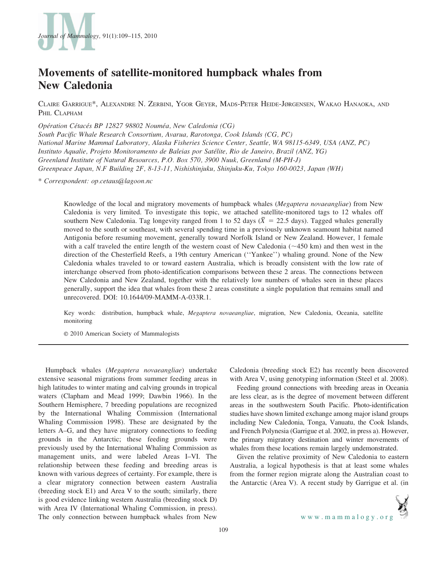

# Movements of satellite-monitored humpback whales from New Caledonia

CLAIRE GARRIGUE\*, ALEXANDRE N. ZERBINI, YGOR GEYER, MADS-PETER HEIDE-JØRGENSEN, WAKAO HANAOKA, AND PHIL CLAPHAM

Opération Cétacés BP 12827 98802 Nouméa, New Caledonia (CG)

South Pacific Whale Research Consortium, Avarua, Rarotonga, Cook Islands (CG, PC) National Marine Mammal Laboratory, Alaska Fisheries Science Center, Seattle, WA 98115-6349, USA (ANZ, PC) Instituto Aqualie, Projeto Monitoramento de Baleias por Satélite, Rio de Janeiro, Brazil (ANZ, YG) Greenland Institute of Natural Resources, P.O. Box 570, 3900 Nuuk, Greenland (M-PH-J) Greenpeace Japan, N.F Building 2F, 8-13-11, Nishishinjuku, Shinjuku-Ku, Tokyo 160-0023, Japan (WH)

\* Correspondent: op.cetaus@lagoon.nc

Knowledge of the local and migratory movements of humpback whales (Megaptera novaeangliae) from New Caledonia is very limited. To investigate this topic, we attached satellite-monitored tags to 12 whales off Caledonia is very immed. To investigate this topic, we attached satellite-monitored tags to 12 whates of<br>southern New Caledonia. Tag longevity ranged from 1 to 52 days ( $\bar{X} = 22.5$  days). Tagged whales generally moved to the south or southeast, with several spending time in a previously unknown seamount habitat named Antigonia before resuming movement, generally toward Norfolk Island or New Zealand. However, 1 female with a calf traveled the entire length of the western coast of New Caledonia ( $\sim$ 450 km) and then west in the direction of the Chesterfield Reefs, a 19th century American (''Yankee'') whaling ground. None of the New Caledonia whales traveled to or toward eastern Australia, which is broadly consistent with the low rate of interchange observed from photo-identification comparisons between these 2 areas. The connections between New Caledonia and New Zealand, together with the relatively low numbers of whales seen in these places generally, support the idea that whales from these 2 areas constitute a single population that remains small and unrecovered. DOI: 10.1644/09-MAMM-A-033R.1.

Key words: distribution, humpback whale, Megaptera novaeangliae, migration, New Caledonia, Oceania, satellite monitoring

E 2010 American Society of Mammalogists

Humpback whales (Megaptera novaeangliae) undertake extensive seasonal migrations from summer feeding areas in high latitudes to winter mating and calving grounds in tropical waters (Clapham and Mead 1999; Dawbin 1966). In the Southern Hemisphere, 7 breeding populations are recognized by the International Whaling Commission (International Whaling Commission 1998). These are designated by the letters A–G, and they have migratory connections to feeding grounds in the Antarctic; these feeding grounds were previously used by the International Whaling Commission as management units, and were labeled Areas I–VI. The relationship between these feeding and breeding areas is known with various degrees of certainty. For example, there is a clear migratory connection between eastern Australia (breeding stock E1) and Area V to the south; similarly, there is good evidence linking western Australia (breeding stock D) with Area IV (International Whaling Commission, in press). The only connection between humpback whales from New Caledonia (breeding stock E2) has recently been discovered with Area V, using genotyping information (Steel et al. 2008).

Feeding ground connections with breeding areas in Oceania are less clear, as is the degree of movement between different areas in the southwestern South Pacific. Photo-identification studies have shown limited exchange among major island groups including New Caledonia, Tonga, Vanuatu, the Cook Islands, and French Polynesia (Garrigue et al. 2002, in press a). However, the primary migratory destination and winter movements of whales from these locations remain largely undemonstrated.

Given the relative proximity of New Caledonia to eastern Australia, a logical hypothesis is that at least some whales from the former region migrate along the Australian coast to the Antarctic (Area V). A recent study by Garrigue et al. (in

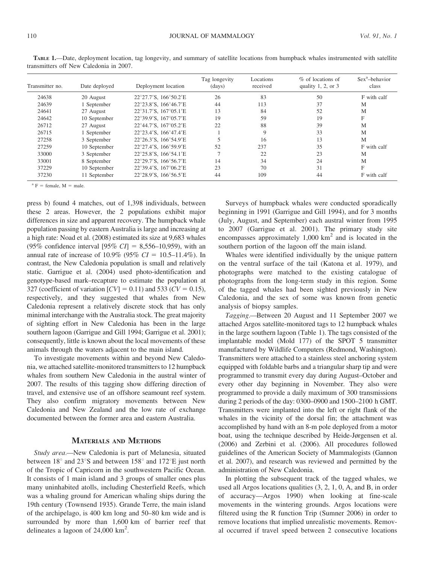| Transmitter no. | Date deployed | Deployment location   | Tag longevity<br>(days) | Locations<br>received | $\%$ of locations of<br>quality $1, 2$ , or $3$ | $Sex^a$ -behavior<br>class |
|-----------------|---------------|-----------------------|-------------------------|-----------------------|-------------------------------------------------|----------------------------|
| 24638           | 20 August     | 22°27.7'S, 166°50.2'E | 26                      | 83                    | 50                                              | F with calf                |
| 24639           | 1 September   | 22°23.8'S, 166°46.7'E | 44                      | 113                   | 37                                              | M                          |
| 24641           | 27 August     | 22°31.7'S, 167°05.1'E | 13                      | 84                    | 52                                              | M                          |
| 24642           | 10 September  | 22°39.9'S, 167°05.7'E | 19                      | 59                    | 19                                              | F                          |
| 26712           | 27 August     | 22°44.7'S, 167°05.2'E | 22                      | 88                    | 39                                              | M                          |
| 26715           | 1 September   | 22°23.4'S, 166°47.4'E |                         | 9                     | 33                                              | M                          |
| 27258           | 3 September   | 22°26.3'S, 166°54.9'E |                         | 16                    | 13                                              | M                          |
| 27259           | 10 September  | 22°27.4'S, 166°59.9'E | 52                      | 237                   | 35                                              | F with calf                |
| 33000           | 3 September   | 22°25.8'S, 166°54.1'E |                         | 22                    | 23                                              | M                          |
| 33001           | 8 September   | 22°29.7'S, 166°56.7'E | 14                      | 34                    | 24                                              | M                          |
| 37229           | 10 September  | 22°39.4'S, 167°06.2'E | 23                      | 70                    | 31                                              | F                          |
| 37230           | 11 September  | 22°28.9'S, 166°56.5'E | 44                      | 109                   | 44                                              | F with calf                |

TABLE 1.—Date, deployment location, tag longevity, and summary of satellite locations from humpback whales instrumented with satellite transmitters off New Caledonia in 2007.

 $A^a$  F = female, M = male.

press b) found 4 matches, out of 1,398 individuals, between these 2 areas. However, the 2 populations exhibit major differences in size and apparent recovery. The humpback whale population passing by eastern Australia is large and increasing at a high rate: Noad et al. (2008) estimated its size at 9,683 whales (95% confidence interval [95% CI] = 8,556–10,959), with an annual rate of increase of 10.9% (95%  $CI = 10.5-11.4\%$ ). In contrast, the New Caledonia population is small and relatively static. Garrigue et al. (2004) used photo-identification and genotype-based mark–recapture to estimate the population at 327 (coefficient of variation  $[CV] = 0.11$ ) and 533 ( $CV = 0.15$ ), respectively, and they suggested that whales from New Caledonia represent a relatively discrete stock that has only minimal interchange with the Australia stock. The great majority of sighting effort in New Caledonia has been in the large southern lagoon (Garrigue and Gill 1994; Garrigue et al. 2001); consequently, little is known about the local movements of these animals through the waters adjacent to the main island.

To investigate movements within and beyond New Caledonia, we attached satellite-monitored transmitters to 12 humpback whales from southern New Caledonia in the austral winter of 2007. The results of this tagging show differing direction of travel, and extensive use of an offshore seamount reef system. They also confirm migratory movements between New Caledonia and New Zealand and the low rate of exchange documented between the former area and eastern Australia.

#### MATERIALS AND METHODS

Study area.—New Caledonia is part of Melanesia, situated between  $18^{\circ}$  and  $23^{\circ}$ S and between  $158^{\circ}$  and  $172^{\circ}$ E just north of the Tropic of Capricorn in the southwestern Pacific Ocean. It consists of 1 main island and 3 groups of smaller ones plus many uninhabited atolls, including Chesterfield Reefs, which was a whaling ground for American whaling ships during the 19th century (Townsend 1935). Grande Terre, the main island of the archipelago, is 400 km long and 50–80 km wide and is surrounded by more than 1,600 km of barrier reef that delineates a lagoon of  $24,000$  km<sup>2</sup>.

Surveys of humpback whales were conducted sporadically beginning in 1991 (Garrigue and Gill 1994), and for 3 months (July, August, and September) each austral winter from 1995 to 2007 (Garrigue et al. 2001). The primary study site encompasses approximately 1,000 km<sup>2</sup> and is located in the southern portion of the lagoon off the main island.

Whales were identified individually by the unique pattern on the ventral surface of the tail (Katona et al. 1979), and photographs were matched to the existing catalogue of photographs from the long-term study in this region. Some of the tagged whales had been sighted previously in New Caledonia, and the sex of some was known from genetic analysis of biopsy samples.

Tagging.—Between 20 August and 11 September 2007 we attached Argos satellite-monitored tags to 12 humpback whales in the large southern lagoon (Table 1). The tags consisted of the implantable model (Mold 177) of the SPOT 5 transmitter manufactured by Wildlife Computers (Redmond, Washington). Transmitters were attached to a stainless steel anchoring system equipped with foldable barbs and a triangular sharp tip and were programmed to transmit every day during August–October and every other day beginning in November. They also were programmed to provide a daily maximum of 300 transmissions during 2 periods of the day: 0300–0900 and 1500–2100 h GMT. Transmitters were implanted into the left or right flank of the whales in the vicinity of the dorsal fin; the attachment was accomplished by hand with an 8-m pole deployed from a motor boat, using the technique described by Heide-Jørgensen et al. (2006) and Zerbini et al. (2006). All procedures followed guidelines of the American Society of Mammalogists (Gannon et al. 2007), and research was reviewed and permitted by the administration of New Caledonia.

In plotting the subsequent track of the tagged whales, we used all Argos locations qualities (3, 2, 1, 0, A, and B, in order of accuracy—Argos 1990) when looking at fine-scale movements in the wintering grounds. Argos locations were filtered using the R function Trip (Sumner 2006) in order to remove locations that implied unrealistic movements. Removal occurred if travel speed between 2 consecutive locations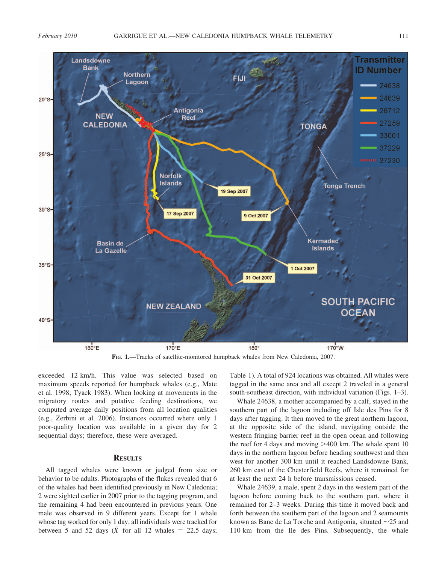

FIG. 1.—Tracks of satellite-monitored humpback whales from New Caledonia, 2007.

exceeded 12 km/h. This value was selected based on maximum speeds reported for humpback whales (e.g., Mate et al. 1998; Tyack 1983). When looking at movements in the migratory routes and putative feeding destinations, we computed average daily positions from all location qualities (e.g., Zerbini et al. 2006). Instances occurred where only 1 poor-quality location was available in a given day for 2 sequential days; therefore, these were averaged.

## **RESULTS**

All tagged whales were known or judged from size or behavior to be adults. Photographs of the flukes revealed that 6 of the whales had been identified previously in New Caledonia; 2 were sighted earlier in 2007 prior to the tagging program, and the remaining 4 had been encountered in previous years. One male was observed in 9 different years. Except for 1 whale whose tag worked for only 1 day, all individuals were tracked for whose tag worked for only 1 day, all hidividuals were tracked for between 5 and 52 days;

Table 1). A total of 924 locations was obtained. All whales were tagged in the same area and all except 2 traveled in a general south-southeast direction, with individual variation (Figs. 1–3).

Whale 24638, a mother accompanied by a calf, stayed in the southern part of the lagoon including off Isle des Pins for 8 days after tagging. It then moved to the great northern lagoon, at the opposite side of the island, navigating outside the western fringing barrier reef in the open ocean and following the reef for 4 days and moving  $>400$  km. The whale spent 10 days in the northern lagoon before heading southwest and then west for another 300 km until it reached Landsdowne Bank, 260 km east of the Chesterfield Reefs, where it remained for at least the next 24 h before transmissions ceased.

Whale 24639, a male, spent 2 days in the western part of the lagoon before coming back to the southern part, where it remained for 2–3 weeks. During this time it moved back and forth between the southern part of the lagoon and 2 seamounts known as Banc de La Torche and Antigonia, situated  $\sim$ 25 and 110 km from the Ile des Pins. Subsequently, the whale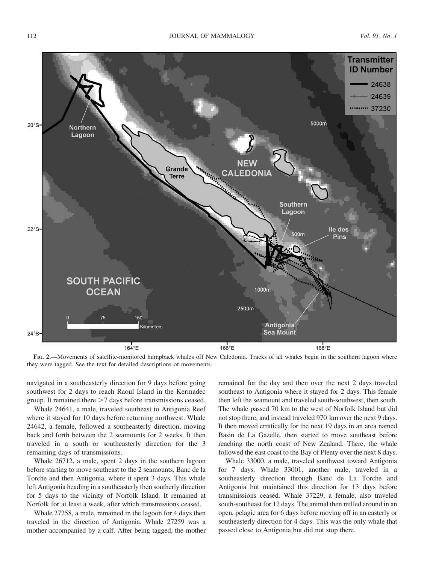

FIG. 2.—Movements of satellite-monitored humpback whales off New Caledonia. Tracks of all whales begin in the southern lagoon where they were tagged. See the text for detailed descriptions of movements.

navigated in a southeasterly direction for 9 days before going southwest for 2 days to reach Raoul Island in the Kermadec group. It remained there  $>7$  days before transmissions ceased.

Whale 24641, a male, traveled southeast to Antigonia Reef where it stayed for 10 days before returning northwest. Whale 24642, a female, followed a southeasterly direction, moving back and forth between the 2 seamounts for 2 weeks. It then traveled in a south or southeasterly direction for the 3 remaining days of transmissions.

Whale 26712, a male, spent 2 days in the southern lagoon before starting to move southeast to the 2 seamounts, Banc de la Torche and then Antigonia, where it spent 3 days. This whale left Antigonia heading in a southeasterly then southerly direction for 5 days to the vicinity of Norfolk Island. It remained at Norfolk for at least a week, after which transmissions ceased.

Whale 27258, a male, remained in the lagoon for 4 days then traveled in the direction of Antigonia. Whale 27259 was a mother accompanied by a calf. After being tagged, the mother remained for the day and then over the next 2 days traveled southeast to Antigonia where it stayed for 2 days. This female then left the seamount and traveled south-southwest, then south. The whale passed 70 km to the west of Norfolk Island but did not stop there, and instead traveled 970 km over the next 9 days. It then moved erratically for the next 19 days in an area named Basin de La Gazelle, then started to move southeast before reaching the north coast of New Zealand. There, the whale followed the east coast to the Bay of Plenty over the next 8 days.

Whale 33000, a male, traveled southwest toward Antigonia for 7 days. Whale 33001, another male, traveled in a southeasterly direction through Banc de La Torche and Antigonia but maintained this direction for 13 days before transmissions ceased. Whale 37229, a female, also traveled south-southeast for 12 days. The animal then milled around in an open, pelagic area for 6 days before moving off in an easterly or southeasterly direction for 4 days. This was the only whale that passed close to Antigonia but did not stop there.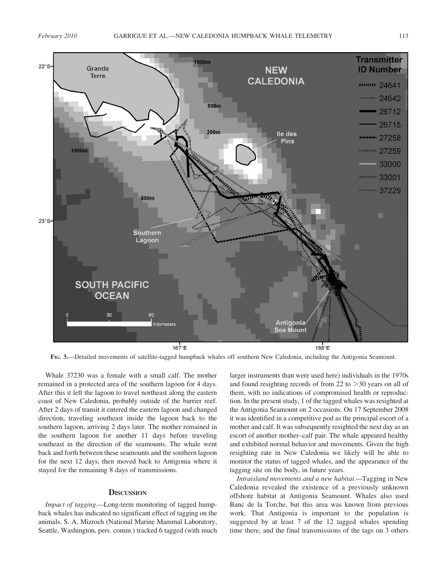

**Sea Mount**  $167^{\circ}E$  $168^{\circ}E$ 

FIG. 3.—Detailed movements of satellite-tagged humpback whales off southern New Caledonia, including the Antigonia Seamount.

Whale 37230 was a female with a small calf. The mother remained in a protected area of the southern lagoon for 4 days. After this it left the lagoon to travel northeast along the eastern coast of New Caledonia, probably outside of the barrier reef. After 2 days of transit it entered the eastern lagoon and changed direction, traveling southeast inside the lagoon back to the southern lagoon, arriving 2 days later. The mother remained in the southern lagoon for another 11 days before traveling southeast in the direction of the seamounts. The whale went back and forth between these seamounts and the southern lagoon for the next 12 days, then moved back to Antigonia where it stayed for the remaining 8 days of transmissions.

Kilometers

## **DISCUSSION**

Impact of tagging.—Long-term monitoring of tagged humpback whales has indicated no significant effect of tagging on the animals. S. A. Mizroch (National Marine Mammal Laboratory, Seattle, Washington, pers. comm.) tracked 6 tagged (with much larger instruments than were used here) individuals in the 1970s and found resighting records of from 22 to  $>30$  years on all of them, with no indications of compromised health or reproduction. In the present study, 1 of the tagged whales was resighted at the Antigonia Seamount on 2 occasions. On 17 September 2008 it was identified in a competitive pod as the principal escort of a mother and calf. It was subsequently resighted the next day as an escort of another mother–calf pair. The whale appeared healthy and exhibited normal behavior and movements. Given the high resighting rate in New Caledonia we likely will be able to monitor the status of tagged whales, and the appearance of the tagging site on the body, in future years.

**Antigonia** 

Intraisland movements and a new habitat.—Tagging in New Caledonia revealed the existence of a previously unknown offshore habitat at Antigonia Seamount. Whales also used Banc de la Torche, but this area was known from previous work. That Antigonia is important to the population is suggested by at least 7 of the 12 tagged whales spending time there, and the final transmissions of the tags on 3 others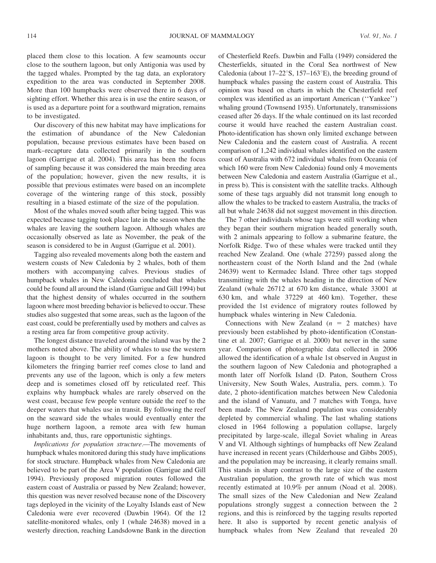placed them close to this location. A few seamounts occur close to the southern lagoon, but only Antigonia was used by the tagged whales. Prompted by the tag data, an exploratory expedition to the area was conducted in September 2008. More than 100 humpbacks were observed there in 6 days of sighting effort. Whether this area is in use the entire season, or is used as a departure point for a southward migration, remains to be investigated.

Our discovery of this new habitat may have implications for the estimation of abundance of the New Caledonian population, because previous estimates have been based on mark–recapture data collected primarily in the southern lagoon (Garrigue et al. 2004). This area has been the focus of sampling because it was considered the main breeding area of the population; however, given the new results, it is possible that previous estimates were based on an incomplete coverage of the wintering range of this stock, possibly resulting in a biased estimate of the size of the population.

Most of the whales moved south after being tagged. This was expected because tagging took place late in the season when the whales are leaving the southern lagoon. Although whales are occasionally observed as late as November, the peak of the season is considered to be in August (Garrigue et al. 2001).

Tagging also revealed movements along both the eastern and western coasts of New Caledonia by 2 whales, both of them mothers with accompanying calves. Previous studies of humpback whales in New Caledonia concluded that whales could be found all around the island (Garrigue and Gill 1994) but that the highest density of whales occurred in the southern lagoon where most breeding behavior is believed to occur. These studies also suggested that some areas, such as the lagoon of the east coast, could be preferentially used by mothers and calves as a resting area far from competitive group activity.

The longest distance traveled around the island was by the 2 mothers noted above. The ability of whales to use the western lagoon is thought to be very limited. For a few hundred kilometers the fringing barrier reef comes close to land and prevents any use of the lagoon, which is only a few meters deep and is sometimes closed off by reticulated reef. This explains why humpback whales are rarely observed on the west coast, because few people venture outside the reef to the deeper waters that whales use in transit. By following the reef on the seaward side the whales would eventually enter the huge northern lagoon, a remote area with few human inhabitants and, thus, rare opportunistic sightings.

Implications for population structure.—The movements of humpback whales monitored during this study have implications for stock structure. Humpback whales from New Caledonia are believed to be part of the Area V population (Garrigue and Gill 1994). Previously proposed migration routes followed the eastern coast of Australia or passed by New Zealand; however, this question was never resolved because none of the Discovery tags deployed in the vicinity of the Loyalty Islands east of New Caledonia were ever recovered (Dawbin 1964). Of the 12 satellite-monitored whales, only 1 (whale 24638) moved in a westerly direction, reaching Landsdowne Bank in the direction of Chesterfield Reefs. Dawbin and Falla (1949) considered the Chesterfields, situated in the Coral Sea northwest of New Caledonia (about  $17-22^{\circ}$ S,  $157-163^{\circ}$ E), the breeding ground of humpback whales passing the eastern coast of Australia. This opinion was based on charts in which the Chesterfield reef complex was identified as an important American (''Yankee'') whaling ground (Townsend 1935). Unfortunately, transmissions ceased after 26 days. If the whale continued on its last recorded course it would have reached the eastern Australian coast. Photo-identification has shown only limited exchange between New Caledonia and the eastern coast of Australia. A recent comparison of 1,242 individual whales identified on the eastern coast of Australia with 672 individual whales from Oceania (of which 160 were from New Caledonia) found only 4 movements between New Caledonia and eastern Australia (Garrigue et al., in press b). This is consistent with the satellite tracks. Although some of these tags arguably did not transmit long enough to allow the whales to be tracked to eastern Australia, the tracks of all but whale 24638 did not suggest movement in this direction.

The 7 other individuals whose tags were still working when they began their southern migration headed generally south, with 2 animals appearing to follow a submarine feature, the Norfolk Ridge. Two of these whales were tracked until they reached New Zealand. One (whale 27259) passed along the northeastern coast of the North Island and the 2nd (whale 24639) went to Kermadec Island. Three other tags stopped transmitting with the whales heading in the direction of New Zealand (whale 26712 at 670 km distance, whale 33001 at 630 km, and whale 37229 at 460 km). Together, these provided the 1st evidence of migratory routes followed by humpback whales wintering in New Caledonia.

Connections with New Zealand  $(n = 2$  matches) have previously been established by photo-identification (Constantine et al. 2007; Garrigue et al. 2000) but never in the same year. Comparison of photographic data collected in 2006 allowed the identification of a whale 1st observed in August in the southern lagoon of New Caledonia and photographed a month later off Norfolk Island (D. Paton, Southern Cross University, New South Wales, Australia, pers. comm.). To date, 2 photo-identification matches between New Caledonia and the island of Vanuatu, and 7 matches with Tonga, have been made. The New Zealand population was considerably depleted by commercial whaling. The last whaling stations closed in 1964 following a population collapse, largely precipitated by large-scale, illegal Soviet whaling in Areas V and VI. Although sightings of humpbacks off New Zealand have increased in recent years (Childerhouse and Gibbs 2005), and the population may be increasing, it clearly remains small. This stands in sharp contrast to the large size of the eastern Australian population, the growth rate of which was most recently estimated at 10.9% per annum (Noad et al. 2008). The small sizes of the New Caledonian and New Zealand populations strongly suggest a connection between the 2 regions, and this is reinforced by the tagging results reported here. It also is supported by recent genetic analysis of humpback whales from New Zealand that revealed 20